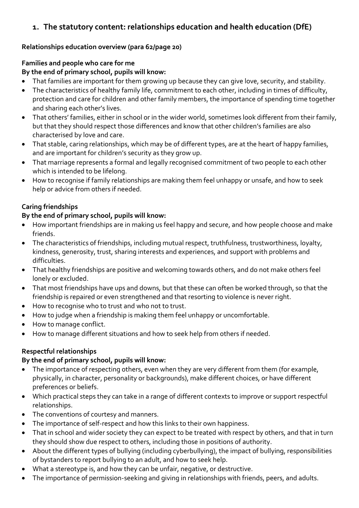# **1. The statutory content: relationships education and health education (DfE)**

#### **Relationships education overview (para 62/page 20)**

## **Families and people who care for me**

## **By the end of primary school, pupils will know:**

- That families are important for them growing up because they can give love, security, and stability.
- The characteristics of healthy family life, commitment to each other, including in times of difficulty, protection and care for children and other family members, the importance of spending time together and sharing each other's lives.
- That others' families, either in school or in the wider world, sometimes look different from their family, but that they should respect those differences and know that other children's families are also characterised by love and care.
- That stable, caring relationships, which may be of different types, are at the heart of happy families, and are important for children's security as they grow up.
- That marriage represents a formal and legally recognised commitment of two people to each other which is intended to be lifelong.
- How to recognise if family relationships are making them feel unhappy or unsafe, and how to seek help or advice from others if needed.

# **Caring friendships**

### **By the end of primary school, pupils will know:**

- How important friendships are in making us feel happy and secure, and how people choose and make friends.
- The characteristics of friendships, including mutual respect, truthfulness, trustworthiness, loyalty, kindness, generosity, trust, sharing interests and experiences, and support with problems and difficulties.
- That healthy friendships are positive and welcoming towards others, and do not make others feel lonely or excluded.
- That most friendships have ups and downs, but that these can often be worked through, so that the friendship is repaired or even strengthened and that resorting to violence is never right.
- How to recognise who to trust and who not to trust.
- How to judge when a friendship is making them feel unhappy or uncomfortable.
- How to manage conflict.
- How to manage different situations and how to seek help from others if needed.

# **Respectful relationships**

## **By the end of primary school, pupils will know:**

- The importance of respecting others, even when they are very different from them (for example, physically, in character, personality or backgrounds), make different choices, or have different preferences or beliefs.
- Which practical steps they can take in a range of different contexts to improve or support respectful relationships.
- The conventions of courtesy and manners.
- The importance of self-respect and how this links to their own happiness.
- That in school and wider society they can expect to be treated with respect by others, and that in turn they should show due respect to others, including those in positions of authority.
- About the different types of bullying (including cyberbullying), the impact of bullying, responsibilities of bystanders to report bullying to an adult, and how to seek help.
- What a stereotype is, and how they can be unfair, negative, or destructive.
- The importance of permission-seeking and giving in relationships with friends, peers, and adults.